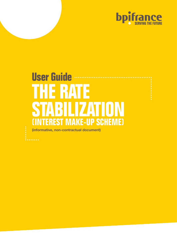

# **User Guide THE RATE STABILIZATION (INTEREST MAKE-UP SCHEME) (informative, non-contractual document)**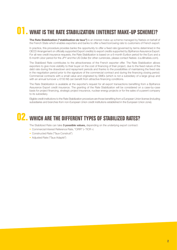# **01. WHAT IS THE RATE STABILIZATION (INTEREST MAKE-UP SCHEME)?**

**The Rate Stabilization ("stabilisation de taux")** is an interest make-up scheme managed by Natixis on behalf of the French State which enables exporters and banks to offer a fixed borrowing rate to customers of French export.

In practice, this procedure provides banks the opportunity to offer a fixed rate (governed by terms determined in the OECD Arrangement on officially supported Export credits) to export credits supported by Bpifrance Assurance Export. For all new credit insurance requests, the Rate Stabilization is based on a 6-month Euribor period for the Euro and a 6-month Libor period for the JPY and the US Dollar (for other currencies, please contact Natixis: d.a.i@natixis.com).

The Stabilized Rate contributes to the attractiveness of the French exporter offer. The Rate Stabilization allows exporters to give more visibility to their buyer on the cost of financing of their project, due to the fixed nature of the debt rate during the drawdown and repayment periods and thanks to the possibilities of maintaining the fixed rate in the negotiation period prior to the signature of the commercial contract and during the financing closing period. Commercial contracts with a small value and originated by SMEs (which is not a subsidiary of a large group and with an annual turnover  $≤$  €150 M) can benefit from attractive financing conditions.

The Rate Stabilization is available at the exporter's request for all export transactions benefiting from a Bpifrance Assurance Export credit insurance. The granting of the Rate Stabilization will be considered on a case-by-case basis for project financing, strategic project insurance, nuclear energy projects or for the sales of a parent company to its subsidiary.

Eligible credit institutions to the Rate Stabilization procedure are those benefiting from a European Union license (including subsidiaries and branches from non-European Union credit institutions established in the European Union zone).

## **02. WHICH ARE THE DIFFERENT TYPES OF STABILIZED RATES?**

The Stabilized Rate can take **3 possible values,** depending on the underlying export contract:

- Commercial Interest Reference Rate, "CIRR" (« TICR »)
- Constructed Rate ("Taux Construit")
- Adjusted Rate ("Taux Adapté")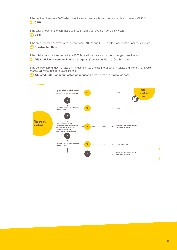If the contract involves a SME which is not a subsidiary of a large group and with a turnover ≤ €150 M **CIRR** 

If the total amount of the contract is ≤ €100 M with a construction period ≤ 4 years CIRR

If the amount of the contract is valued between €100 M and €500 M with a construction period ≤ 4 years **Constructed Rate**

If the total amount of the contract is  $> \text{\textsterling}500$  M or with a construction period longer than 4 years

**Adjusted Rate - communicated on request** (Contact details: d.a.i@natixis.com)

If the contract falls under the OECD Arrangement Appendices I to VII (ship, nuclear, civil aircraft, renewable energy, rail infrastructure, project finance)

**Adjusted Rate – communicated on request** (Contact details: d.a.i@natixis.com)

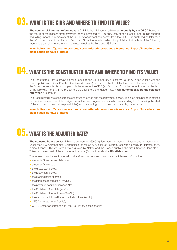# **03. WHAT IS THE CIRR AND WHERE TO FIND ITS VALUE?**

**The commercial interest reference rate CIRR** is the minimum fixed rate **set monthly by the OECD** based on the return of the highest-rated sovereign bonds increased by 100 bps. Only export credits under public support and falling under the framework of the OECD Arrangement can benefit from the CIRR. It is published no later than the 10th of each month and is valid from the 15th of the month in which it is published to the 14th of the following month. It is available for several currencies, including the Euro and US Dollar.

**www.bpifrance.fr/Qui-sommes-nous/Nos-metiers/International/Assurance-Export/Procedure-destabilisation-de-taux-d-interet**

### **04. WHAT IS THE CONSTRUCTED RATE AND WHERE TO FIND ITS VALUE?**

The Constructed Rate is always higher or equal to the CIRR in force. It is set by Natixis AI in conjunction with the French public authorities (Direction Générale du Trésor) and is published no later than the 10th of each month on the Bpifrance website. Its validity period is the same as the CIRR (e.g from the 15th of the current month to the 14th of the following month). If the project is eligible for the Constructed Rate, **it will automatically be the selected rate when** it is granted.

The Constructed Rate considers the construction period and the repayment period. The execution period is defined as the time between the date of signature of the Credit Agreement (usually corresponding to T0, marking the start of the exporter contractual responsibilities) and the starting point of credit as stated by the exporter.

**www.bpifrance.fr/Qui-sommes-nous/Nos-metiers/International/Assurance-Export/Procedure-destabilisation-de-taux-d-interet**

### **05. WHAT IS THE ADJUSTED RATE?**

**The Adjusted Rate** is set for high value contracts (> €500 M), long-term contracts (> 4 years) and contracts falling under the OECD Arrangement Appendices I to VII (ship, nuclear, civil aircraft, renewable energy, rail infrastructure, project finance). This Adjusted Rate is quoted by Natixis and the French public authorities (Direction Générale du Trésor) at the request of the exporter or the bank (Contact details: **d.a.i@natixis.com**).

The request must be sent by email to **d.a.i@natixis.com** and must state the following information:

- amount of the commercial contract,
- amount of the credit,
- the drawdown period,
- the repayment period,
- the starting point of credit,
- the interest capitalization (Yes/No),
- the premium capitalization (Yes/No).
- the Stabilized Offer Rate (Yes/No),
- the Stabilized Contract Rate (Yes/No),
- the 4-month additional lock-in period option (Yes/No),
- OECD Arrangement (Yes/No),
- OECD Sector Understandings (Yes/No If yes, please specify)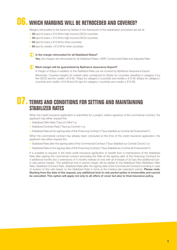# **06. WHICH MARGINS WILL BE RETROCEDED AND COVERED?**

Margins retroceded to the banks by Natixis in the framework of the stabilization procedure are set at:

- **35** bps for loans ≥ €10 M for high-income OECD countries
- **45** bps for loans < €10 M for high-income OECD countries
- **55** bps for loans ≥ €10 M for other countries
- **65** bps for credits < €10 M for other countries

#### **Is the margin retroceded for all Stabilized Rates?**

**Yes,** the margins are retroceded for all Stabilized Rates: CIRR, Constructed Rate and Adjusted Rate.

#### **What margin will be guaranteed by Bpifrance Assurance Export?**

A margin of 20bps in addition to the Stabilized Rate can be covered by Bpifrance Assurance Export.

(Reminder: Covered margins for market rates correspond to 85pbs for countries classified in category II by the OECD and for credits <€10 M, 75bps for category II countries and credits ≥ €10 M, 65bps for category I countries and credits <€10 M and 55 bps for category I countries and credits  $\geq$  €10 M).

### **07. TERMS AND CONDITIONS FOR SETTING AND MAINTAINING STABILIZED RATES**

When the credit insurance application is submitted for a project, before signature of the commercial contract, the applicant may either request the:

- Stabilized Offer Rate ("Taux à l'Offre") or,
- Stabilized Contract Rate ("Taux au Contrat ») or,
- Stabilized Rate at the signing date of the Financing Contract ("Taux stabilisé au Contrat de Financement").

When the commercial contract has already been concluded at the time of the credit insurance application, the applicant may either request the:

- Stabilized Rate after the signing date of the Commercial Contract ("Taux Stabilisé sur Contrat Conclu") or,
- Stabilized Rate at the signing date of the Financing Contract ("Taux Stabilisé au Contrat de Financement").

It is possible to request in the initial credit insurance application to benefit from a maintenance of the Stabilized Rate after signing the commercial contract (excluding the Rate at the signing date of the Financing Contract) for 4 additional months (for 2 extensions of 4 months instead of one) with an increase of 20 bps (the additional lockin rate period margin). This additional lock-in period margin will be added to the Stabilized Rate (Stabilized Offer Rate, Stabilized Contract Rate, Stabilized Rate after the signing date of the Commercial Contract) including in case of revision of this rate based on the Stabilized Rate in force at the holding rate expiration period. **Please note: Starting from the date of the request,** *any additional lock-in rate period option* **is irreversible and cannot be cancelled. This option will apply not only to all offers of cover but also to final insurance policy.**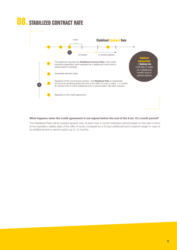

#### **What happens when the credit agreement is not signed before the end of the 8-(or 12-) month period?**

The Stabilized Rate will be revised upward only, at each new 4-month extension period based on the rate in force at the expiration validity date of the offer of cover, increased by a 20 bps additional lock-in period margin in case of an additional lock-in period option up to 12 months.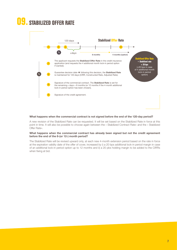# **09. STABILIZED OFFER RATE**



#### **What happens when the commercial contract is not signed before the end of the 120-day period?**

A new revision of the Stabilized Rate can be requested. It will be set based on the Stabilized Rate in force at this point in time. It will also be possible to choose again between the « Stabilized Contract Rate» and the « Stabilized Offer Rate».

#### **What happens when the commercial contract has already been signed but not the credit agreement before the end of the 8-(or 12-) month period?**

The Stabilized Rate will be revised upward only, at each new 4-month extension period based on the rate in force at the expiration validity date of the offer of cover, increased by i) a 20 bps additional lock-in period margin in case of an additional lock-in period option up to 12 months and ii) a 20 pbs holding margin to be added to the CIRRs when fixing at bid.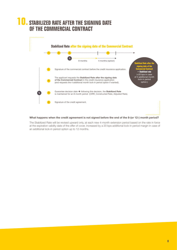### **STABILIZED RATE AFTER THE SIGNING DATE OF THE COMMERCIAL CONTRACT**



#### **What happens when the credit agreement is not signed before the end of the 8-(or 12-) month period?**

The Stabilized Rate will be revised upward only, at each new 4-month extension period based on the rate in force at the expiration validity date of the offer of cover, increased by a 20 bps additional lock-in period margin in case of an additional lock-in period option up to 12 months.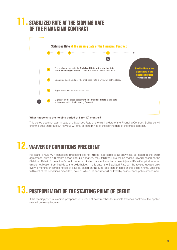

#### **What happens to the holding period of 8 (or 12) months?**

This period does not exist in case of a Stabilized Rate at the signing date of the Financing Contract. Bpifrance will offer the Stabilized Rate but its value will only be determined at the signing date of the credit contract.

## **12. WAIVER OF CONDITIONS PRECEDENT**

For loans ≥ €25 M, if conditions precedent are not fulfilled (applicable to all drawings), as stated in the credit agreement, within a 8-month period after its signature, the Stabilized Rate will be revised upward based on the Stabilized Rate in force at the 8-month period expiration date (or based on a new Adjusted Rate if applicable) upon simple notification from Natixis to the policyholder. In this case, the Stabilized Rate will be revised upward only, every 4 months on simple notice by Natixis, based on the Stabilized Rate in force at this point in time, until final fulfillment of the conditions precedent, date on which the final rate will be fixed by an insurance policy amendment.

## **13. POSTPONEMENT OF THE STARTING POINT OF CREDIT**

If the starting point of credit is postponed or in case of new tranches for multiple tranches contracts, the applied rate will be revised upward.